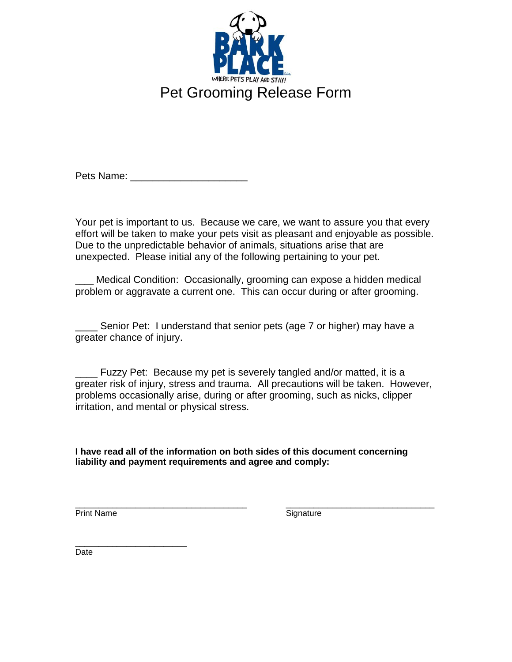

Pets Name:

Your pet is important to us. Because we care, we want to assure you that every effort will be taken to make your pets visit as pleasant and enjoyable as possible. Due to the unpredictable behavior of animals, situations arise that are unexpected. Please initial any of the following pertaining to your pet.

Medical Condition: Occasionally, grooming can expose a hidden medical problem or aggravate a current one. This can occur during or after grooming.

\_\_\_\_ Senior Pet: I understand that senior pets (age 7 or higher) may have a greater chance of injury.

\_\_\_\_ Fuzzy Pet: Because my pet is severely tangled and/or matted, it is a greater risk of injury, stress and trauma. All precautions will be taken. However, problems occasionally arise, during or after grooming, such as nicks, clipper irritation, and mental or physical stress.

**I have read all of the information on both sides of this document concerning liability and payment requirements and agree and comply:**

\_\_\_\_\_\_\_\_\_\_\_\_\_\_\_\_\_\_\_\_\_\_\_\_\_\_\_\_\_\_\_\_\_\_\_\_\_ \_\_\_\_\_\_\_\_\_\_\_\_\_\_\_\_\_\_\_\_\_\_\_\_\_\_\_\_\_\_\_\_

Print Name Signature

\_\_\_\_\_\_\_\_\_\_\_\_\_\_\_\_\_\_\_\_\_\_\_\_ Date